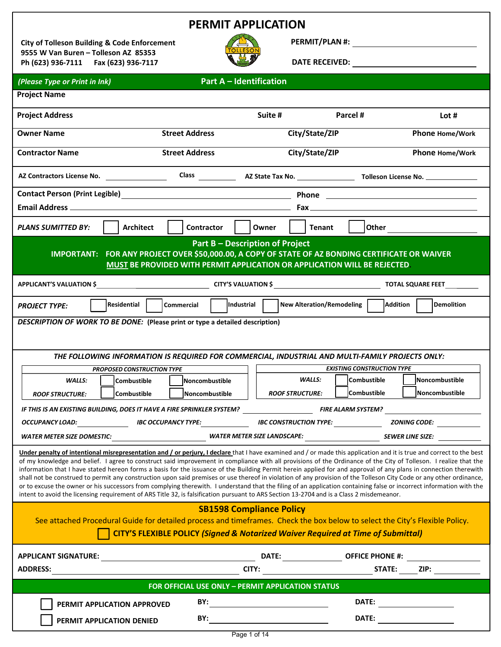| <b>PERMIT APPLICATION</b>                                                                                                                                                                                                                                                                                                                                                                                                                                                                                                                                                                                                                                                                                                                                                                                                                                                                                                                                                                                 |                                                                                                                    |                                                       |                                                  |                                                 |
|-----------------------------------------------------------------------------------------------------------------------------------------------------------------------------------------------------------------------------------------------------------------------------------------------------------------------------------------------------------------------------------------------------------------------------------------------------------------------------------------------------------------------------------------------------------------------------------------------------------------------------------------------------------------------------------------------------------------------------------------------------------------------------------------------------------------------------------------------------------------------------------------------------------------------------------------------------------------------------------------------------------|--------------------------------------------------------------------------------------------------------------------|-------------------------------------------------------|--------------------------------------------------|-------------------------------------------------|
| <b>City of Tolleson Building &amp; Code Enforcement</b>                                                                                                                                                                                                                                                                                                                                                                                                                                                                                                                                                                                                                                                                                                                                                                                                                                                                                                                                                   |                                                                                                                    |                                                       |                                                  |                                                 |
| 9555 W Van Buren - Tolleson AZ 85353<br>Ph (623) 936-7111   Fax (623) 936-7117                                                                                                                                                                                                                                                                                                                                                                                                                                                                                                                                                                                                                                                                                                                                                                                                                                                                                                                            |                                                                                                                    |                                                       |                                                  | DATE RECEIVED: <u>_________________________</u> |
| (Please Type or Print in Ink)                                                                                                                                                                                                                                                                                                                                                                                                                                                                                                                                                                                                                                                                                                                                                                                                                                                                                                                                                                             | <b>Part A - Identification</b>                                                                                     |                                                       |                                                  |                                                 |
| <b>Project Name</b>                                                                                                                                                                                                                                                                                                                                                                                                                                                                                                                                                                                                                                                                                                                                                                                                                                                                                                                                                                                       |                                                                                                                    |                                                       |                                                  |                                                 |
| <b>Project Address</b>                                                                                                                                                                                                                                                                                                                                                                                                                                                                                                                                                                                                                                                                                                                                                                                                                                                                                                                                                                                    |                                                                                                                    | Suite #                                               | Parcel #                                         | Lot $#$                                         |
| <b>Owner Name</b>                                                                                                                                                                                                                                                                                                                                                                                                                                                                                                                                                                                                                                                                                                                                                                                                                                                                                                                                                                                         | <b>Street Address</b>                                                                                              | City/State/ZIP                                        |                                                  | Phone Home/Work                                 |
| <b>Contractor Name</b>                                                                                                                                                                                                                                                                                                                                                                                                                                                                                                                                                                                                                                                                                                                                                                                                                                                                                                                                                                                    | <b>Street Address</b>                                                                                              | City/State/ZIP                                        |                                                  | Phone Home/Work                                 |
|                                                                                                                                                                                                                                                                                                                                                                                                                                                                                                                                                                                                                                                                                                                                                                                                                                                                                                                                                                                                           |                                                                                                                    |                                                       |                                                  |                                                 |
| <b>Contact Person (Print Legible)</b>                                                                                                                                                                                                                                                                                                                                                                                                                                                                                                                                                                                                                                                                                                                                                                                                                                                                                                                                                                     |                                                                                                                    |                                                       |                                                  |                                                 |
|                                                                                                                                                                                                                                                                                                                                                                                                                                                                                                                                                                                                                                                                                                                                                                                                                                                                                                                                                                                                           |                                                                                                                    |                                                       |                                                  |                                                 |
| <b>Architect</b><br><b>PLANS SUMITTED BY:</b>                                                                                                                                                                                                                                                                                                                                                                                                                                                                                                                                                                                                                                                                                                                                                                                                                                                                                                                                                             | Contractor                                                                                                         | <b>Tenant</b><br>Owner                                | Other                                            |                                                 |
| IMPORTANT: FOR ANY PROJECT OVER \$50,000.00, A COPY OF STATE OF AZ BONDING CERTIFICATE OR WAIVER                                                                                                                                                                                                                                                                                                                                                                                                                                                                                                                                                                                                                                                                                                                                                                                                                                                                                                          | <b>Part B - Description of Project</b><br>MUST BE PROVIDED WITH PERMIT APPLICATION OR APPLICATION WILL BE REJECTED |                                                       |                                                  |                                                 |
|                                                                                                                                                                                                                                                                                                                                                                                                                                                                                                                                                                                                                                                                                                                                                                                                                                                                                                                                                                                                           |                                                                                                                    |                                                       |                                                  |                                                 |
| Residential<br><b>PROJECT TYPE:</b>                                                                                                                                                                                                                                                                                                                                                                                                                                                                                                                                                                                                                                                                                                                                                                                                                                                                                                                                                                       | Industrial<br><b>Commercial</b>                                                                                    | <b>New Alteration/Remodeling</b>                      | <b>Addition</b>                                  | l Demolition                                    |
| DESCRIPTION OF WORK TO BE DONE: (Please print or type a detailed description)                                                                                                                                                                                                                                                                                                                                                                                                                                                                                                                                                                                                                                                                                                                                                                                                                                                                                                                             |                                                                                                                    |                                                       |                                                  |                                                 |
| THE FOLLOWING INFORMATION IS REQUIRED FOR COMMERCIAL, INDUSTRIAL AND MULTI-FAMILY PROJECTS ONLY:                                                                                                                                                                                                                                                                                                                                                                                                                                                                                                                                                                                                                                                                                                                                                                                                                                                                                                          |                                                                                                                    |                                                       |                                                  |                                                 |
| <b>PROPOSED CONSTRUCTION TYPE</b><br><b>WALLS:</b><br><b>Combustible</b>                                                                                                                                                                                                                                                                                                                                                                                                                                                                                                                                                                                                                                                                                                                                                                                                                                                                                                                                  | Noncombustible                                                                                                     | <b>WALLS:</b>                                         | <b>EXISTING CONSTRUCTION TYPE</b><br>Combustible | Noncombustible                                  |
| <b>Combustible</b><br><b>ROOF STRUCTURE:</b>                                                                                                                                                                                                                                                                                                                                                                                                                                                                                                                                                                                                                                                                                                                                                                                                                                                                                                                                                              | lNoncombustible                                                                                                    | <b>ROOF STRUCTURE:</b>                                | Combustible                                      | Noncombustible                                  |
|                                                                                                                                                                                                                                                                                                                                                                                                                                                                                                                                                                                                                                                                                                                                                                                                                                                                                                                                                                                                           |                                                                                                                    |                                                       |                                                  |                                                 |
| OCCUPANCY LOAD: IBC OCCUPANCY TYPE: IBC CONSTRUCTION TYPE: ZONING CODE: _________                                                                                                                                                                                                                                                                                                                                                                                                                                                                                                                                                                                                                                                                                                                                                                                                                                                                                                                         |                                                                                                                    |                                                       |                                                  |                                                 |
|                                                                                                                                                                                                                                                                                                                                                                                                                                                                                                                                                                                                                                                                                                                                                                                                                                                                                                                                                                                                           |                                                                                                                    |                                                       |                                                  |                                                 |
| Under penalty of intentional misrepresentation and / or perjury, I declare that I have examined and / or made this application and it is true and correct to the best<br>of my knowledge and belief. I agree to construct said improvement in compliance with all provisions of the Ordinance of the City of Tolleson. I realize that the<br>information that I have stated hereon forms a basis for the issuance of the Building Permit herein applied for and approval of any plans in connection therewith<br>shall not be construed to permit any construction upon said premises or use thereof in violation of any provision of the Tolleson City Code or any other ordinance,<br>or to excuse the owner or his successors from complying therewith. I understand that the filing of an application containing false or incorrect information with the<br>intent to avoid the licensing requirement of ARS Title 32, is falsification pursuant to ARS Section 13-2704 and is a Class 2 misdemeanor. |                                                                                                                    |                                                       |                                                  |                                                 |
| <b>SB1598 Compliance Policy</b><br>See attached Procedural Guide for detailed process and timeframes. Check the box below to select the City's Flexible Policy.<br><b>CITY'S FLEXIBLE POLICY (Signed &amp; Notarized Waiver Required at Time of Submittal)</b>                                                                                                                                                                                                                                                                                                                                                                                                                                                                                                                                                                                                                                                                                                                                            |                                                                                                                    |                                                       |                                                  |                                                 |
|                                                                                                                                                                                                                                                                                                                                                                                                                                                                                                                                                                                                                                                                                                                                                                                                                                                                                                                                                                                                           |                                                                                                                    |                                                       |                                                  |                                                 |
| <b>ADDRESS:</b>                                                                                                                                                                                                                                                                                                                                                                                                                                                                                                                                                                                                                                                                                                                                                                                                                                                                                                                                                                                           |                                                                                                                    |                                                       |                                                  |                                                 |
| $CITY:$ $TITY:$ $TYZ:$ $TYZ:$ $TYZ:$ $TAZIPE:$ $TZIP:$ $TZIP:$<br>FOR OFFICIAL USE ONLY - PERMIT APPLICATION STATUS                                                                                                                                                                                                                                                                                                                                                                                                                                                                                                                                                                                                                                                                                                                                                                                                                                                                                       |                                                                                                                    |                                                       |                                                  |                                                 |
| PERMIT APPLICATION APPROVED                                                                                                                                                                                                                                                                                                                                                                                                                                                                                                                                                                                                                                                                                                                                                                                                                                                                                                                                                                               | BY:                                                                                                                | <u> 1989 - Johann Barbara, martxa alemani</u> ar arte |                                                  | DATE:                                           |
| PERMIT APPLICATION DENIED                                                                                                                                                                                                                                                                                                                                                                                                                                                                                                                                                                                                                                                                                                                                                                                                                                                                                                                                                                                 |                                                                                                                    |                                                       |                                                  |                                                 |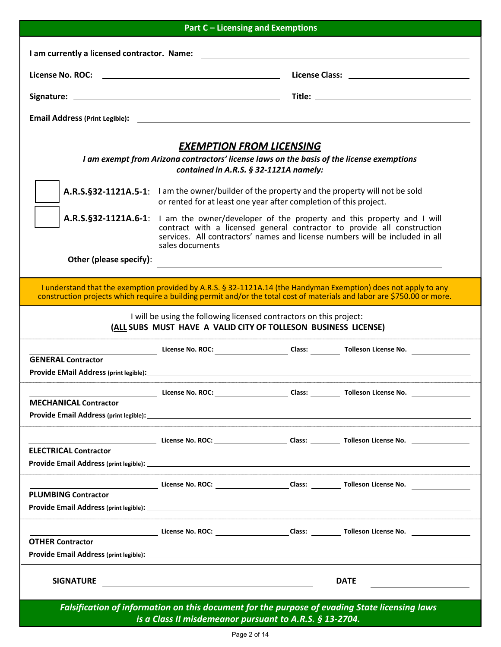| <b>Part C - Licensing and Exemptions</b>    |                                                                                                                                                                                                                                                                          |  |                                                                                                                                                                                                                                             |  |
|---------------------------------------------|--------------------------------------------------------------------------------------------------------------------------------------------------------------------------------------------------------------------------------------------------------------------------|--|---------------------------------------------------------------------------------------------------------------------------------------------------------------------------------------------------------------------------------------------|--|
| I am currently a licensed contractor. Name: |                                                                                                                                                                                                                                                                          |  |                                                                                                                                                                                                                                             |  |
|                                             |                                                                                                                                                                                                                                                                          |  |                                                                                                                                                                                                                                             |  |
|                                             |                                                                                                                                                                                                                                                                          |  |                                                                                                                                                                                                                                             |  |
|                                             |                                                                                                                                                                                                                                                                          |  |                                                                                                                                                                                                                                             |  |
|                                             |                                                                                                                                                                                                                                                                          |  |                                                                                                                                                                                                                                             |  |
|                                             | <b>EXEMPTION FROM LICENSING</b><br>I am exempt from Arizona contractors' license laws on the basis of the license exemptions                                                                                                                                             |  |                                                                                                                                                                                                                                             |  |
|                                             | contained in A.R.S. § 32-1121A namely:                                                                                                                                                                                                                                   |  |                                                                                                                                                                                                                                             |  |
|                                             | A.R.S.§32-1121A.5-1: I am the owner/builder of the property and the property will not be sold<br>or rented for at least one year after completion of this project.                                                                                                       |  |                                                                                                                                                                                                                                             |  |
|                                             | A.R.S.§32-1121A.6-1: I am the owner/developer of the property and this property and I will<br>contract with a licensed general contractor to provide all construction<br>services. All contractors' names and license numbers will be included in all<br>sales documents |  |                                                                                                                                                                                                                                             |  |
| Other (please specify):                     |                                                                                                                                                                                                                                                                          |  |                                                                                                                                                                                                                                             |  |
|                                             |                                                                                                                                                                                                                                                                          |  | I understand that the exemption provided by A.R.S. § 32-1121A.14 (the Handyman Exemption) does not apply to any<br>construction projects which require a building permit and/or the total cost of materials and labor are \$750.00 or more. |  |
|                                             | I will be using the following licensed contractors on this project:<br>(ALL SUBS MUST HAVE A VALID CITY OF TOLLESON BUSINESS LICENSE)                                                                                                                                    |  |                                                                                                                                                                                                                                             |  |
|                                             | License No. ROC: Class: Tolleson License No.                                                                                                                                                                                                                             |  |                                                                                                                                                                                                                                             |  |
| <b>GENERAL Contractor</b>                   |                                                                                                                                                                                                                                                                          |  |                                                                                                                                                                                                                                             |  |
|                                             |                                                                                                                                                                                                                                                                          |  |                                                                                                                                                                                                                                             |  |
| <b>MECHANICAL Contractor</b>                |                                                                                                                                                                                                                                                                          |  |                                                                                                                                                                                                                                             |  |
|                                             |                                                                                                                                                                                                                                                                          |  |                                                                                                                                                                                                                                             |  |
|                                             |                                                                                                                                                                                                                                                                          |  |                                                                                                                                                                                                                                             |  |
| <b>ELECTRICAL Contractor</b>                |                                                                                                                                                                                                                                                                          |  |                                                                                                                                                                                                                                             |  |
|                                             |                                                                                                                                                                                                                                                                          |  |                                                                                                                                                                                                                                             |  |
|                                             |                                                                                                                                                                                                                                                                          |  | License No. ROC: Cass: Class: Tolleson License No. 2008. [1] Class: Class: 2008. [1] Class: 2008. [1] Class: 2008. [1] Class: 2008. [1] Class: 2008. [1] Class: 2008. [1] Class: 2008. [1] Class: 2008. [1] Class: 2008. [1] C              |  |
| <b>PLUMBING Contractor</b>                  |                                                                                                                                                                                                                                                                          |  |                                                                                                                                                                                                                                             |  |
|                                             |                                                                                                                                                                                                                                                                          |  |                                                                                                                                                                                                                                             |  |
|                                             |                                                                                                                                                                                                                                                                          |  |                                                                                                                                                                                                                                             |  |
| <b>OTHER Contractor</b>                     |                                                                                                                                                                                                                                                                          |  |                                                                                                                                                                                                                                             |  |
|                                             |                                                                                                                                                                                                                                                                          |  |                                                                                                                                                                                                                                             |  |
| <b>SIGNATURE</b>                            |                                                                                                                                                                                                                                                                          |  | <b>DATE</b><br><u> 1989 - John Stein, Amerikaansk politiker</u>                                                                                                                                                                             |  |
|                                             | is a Class II misdemeanor pursuant to A.R.S. § 13-2704.                                                                                                                                                                                                                  |  | Falsification of information on this document for the purpose of evading State licensing laws                                                                                                                                               |  |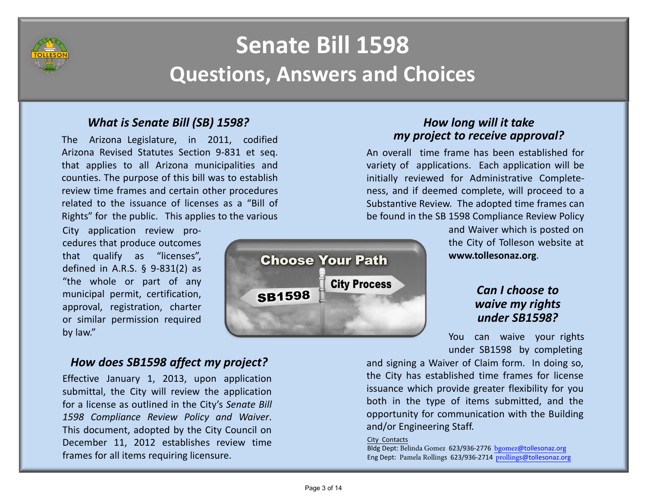

## Senate Bill 1598Questions, Answers and Choices

## What is Senate Bill (SB) 1598?

The Arizona Legislature, in 2011, codified Arizona Revised Statutes Section 9-831 et seq. that applies to all Arizona municipalities and counties. The purpose of this bill was to establish review time frames and certain other procedures related to the issuance of licenses as <sup>a</sup> "Bill of Rights" for the public. This applies to the various

City application review procedures that produce outcomes that qualify as "licenses", defined in A.R.S. § 9-831(2) as "the whole or part of any municipal permit, certification, approval, registration, charter or similar permission required<br>by law." by law." You have a set of the contract of the contract of the contract of the contract of the contract of the contract of the contract of the contract of the contract of the contract of the contract of the contract of the

## How does SB1598 affect my project?

Effective January 1, 2013, upon application submittal, the City will review the applicationfor a license as outlined in the City's *Senate Bill* <sup>1598</sup> Compliance Review Policy and Waiver. This document, adopted by the City Council on December 11, <sup>2012</sup> establishes review time frames for all items requiring licensure.

# **Choose Your Path City Process SB1598**

## How long will it take my project to receive approval?

An overall time frame has been established for variety of applications. Each application will be initially reviewed for Administrative Completeness, and if deemed complete, will proceed to <sup>a</sup> Substantive Review. The adopted time frames canbe found in the SB <sup>1598</sup> Compliance Review Policy

and Waiver which is posted on the City of Tolleson website at www.tollesonaz.org.

## Can I choose to waive my rights under SB1598?

You can waive your rights under SB1598 by completing

and signing <sup>a</sup> Waiver of Claim form. In doing so, the City has established time frames for license issuance which provide greater flexibility for you both in the type of items submitted, and the opportunity for communication with the Building and/or Engineering Staff.

#### City Contacts

Bldg Dept: Belinda Gomez 623/936-2776 <u>bgomez@tollesonaz.org</u> Eng Dept: Pamela Rollings 623/936-2714 <u>prollings@tollesonaz.org</u>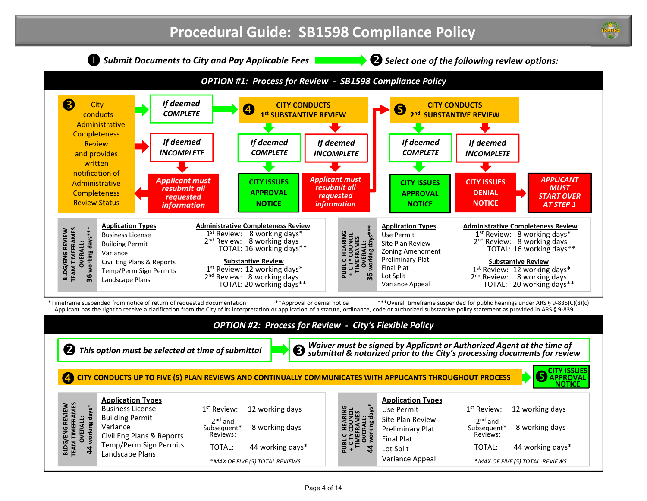

#### OPTION #2: Process for Review - City's Flexible Policy

 $\bullet$  This option must be selected at time of submittal

**S** Waiver must be signed by Applicant or Authorized Agent at the time of<br>International Bubmittal & notarized prior to the City's processing documents for review

#### CITY CONDUCTS UP TO FIVE (5) PLAN REVIEWS AND CONTINUALLY COMMUNICATES WITH APPLICANTS THROUGHOUT PROCESS



| <b>Application Types</b> |  |  |
|--------------------------|--|--|
| <b>Business License</b>  |  |  |

 Civil Eng Plans & Reports Temp/Perm Sign Permits

 Building PermitVariance

BLDG/ENG REVIEW TEAM TIMEFRAMES OVERALL: 44 working days\*

**BLDG/ENG REVIEW<br>TEAM TIMEFRAMES<br>OVERALL:** 

working days\*

 $\overline{4}$ 

Landscape Plans

TOTAL: 44 working days\*2<sup>nd</sup> and Subsequent\*Reviews: 8 working days $1<sup>st</sup>$  Review: 12 working days \*MAX OF FIVE (5) TOTAL REVIEWS

| <b>Application Types</b> |                         |
|--------------------------|-------------------------|
| Use Permit               | $1st$ Review:           |
| Site Plan Review         | $2nd$ and               |
| Preliminary Plat         | Subsequent*<br>Reviews: |
| <b>Final Plat</b>        |                         |
| Lot Split                | TOTAL:                  |

Variance Appeal

| JUI FRULEJJ                    | NOTICE          |
|--------------------------------|-----------------|
| $1^\mathrm{st}$ Review:<br>2nd | 12 working days |

8 working days

| ews: |                  |
|------|------------------|
| AL:  | 44 working days* |

PUBLIC HEARING + CITY COUNCIL TIMEFRAMES OVERALL: 44 working days\*

**PUBLIC HEARING<br>+ CITY COUNCIL<br>TIMEFRAMES<br>OVERALL:<br>Q44 working days\***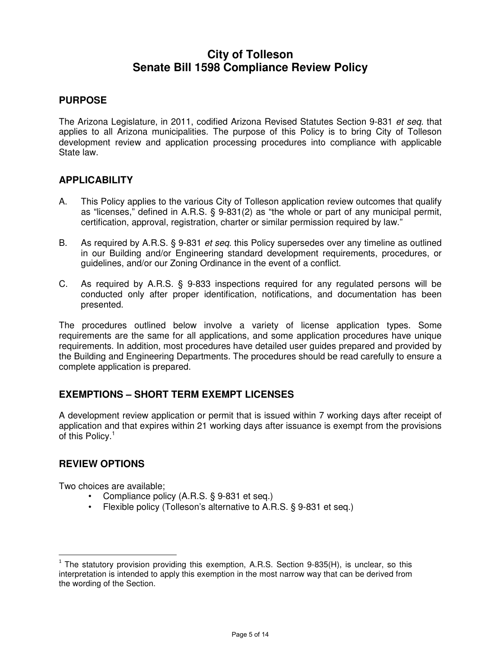## **City of Tolleson Senate Bill 1598 Compliance Review Policy**

#### **PURPOSE**

The Arizona Legislature, in 2011, codified Arizona Revised Statutes Section 9-831 et seq. that applies to all Arizona municipalities. The purpose of this Policy is to bring City of Tolleson development review and application processing procedures into compliance with applicable State law.

#### **APPLICABILITY**

- A. This Policy applies to the various City of Tolleson application review outcomes that qualify as "licenses," defined in A.R.S. § 9-831(2) as "the whole or part of any municipal permit, certification, approval, registration, charter or similar permission required by law."
- B. As required by A.R.S. § 9-831 *et seq.* this Policy supersedes over any timeline as outlined in our Building and/or Engineering standard development requirements, procedures, or guidelines, and/or our Zoning Ordinance in the event of a conflict.
- C. As required by A.R.S. § 9-833 inspections required for any regulated persons will be conducted only after proper identification, notifications, and documentation has been presented.

The procedures outlined below involve a variety of license application types. Some requirements are the same for all applications, and some application procedures have unique requirements. In addition, most procedures have detailed user guides prepared and provided by the Building and Engineering Departments. The procedures should be read carefully to ensure a complete application is prepared.

#### **EXEMPTIONS – SHORT TERM EXEMPT LICENSES**

A development review application or permit that is issued within 7 working days after receipt of application and that expires within 21 working days after issuance is exempt from the provisions of this Policy.<sup>1</sup>

#### **REVIEW OPTIONS**

Two choices are available;

- Compliance policy (A.R.S. § 9-831 et seq.)
- Flexible policy (Tolleson's alternative to A.R.S. § 9-831 et seq.)

 $1$  The statutory provision providing this exemption, A.R.S. Section 9-835(H), is unclear, so this interpretation is intended to apply this exemption in the most narrow way that can be derived from the wording of the Section.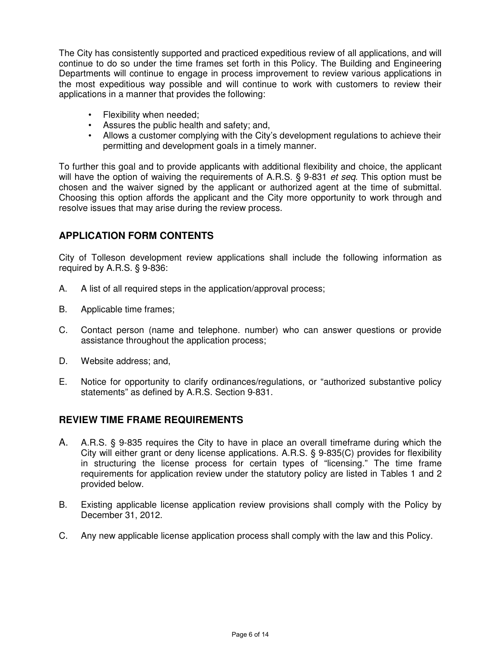The City has consistently supported and practiced expeditious review of all applications, and will continue to do so under the time frames set forth in this Policy. The Building and Engineering Departments will continue to engage in process improvement to review various applications in the most expeditious way possible and will continue to work with customers to review their applications in a manner that provides the following:

- Flexibility when needed;
- Assures the public health and safety; and,
- Allows a customer complying with the City's development regulations to achieve their permitting and development goals in a timely manner.

To further this goal and to provide applicants with additional flexibility and choice, the applicant will have the option of waiving the requirements of A.R.S. § 9-831 et seq. This option must be chosen and the waiver signed by the applicant or authorized agent at the time of submittal. Choosing this option affords the applicant and the City more opportunity to work through and resolve issues that may arise during the review process.

#### **APPLICATION FORM CONTENTS**

City of Tolleson development review applications shall include the following information as required by A.R.S. § 9-836:

- A. A list of all required steps in the application/approval process;
- B. Applicable time frames;
- C. Contact person (name and telephone. number) who can answer questions or provide assistance throughout the application process;
- D. Website address; and,
- E. Notice for opportunity to clarify ordinances/regulations, or "authorized substantive policy statements" as defined by A.R.S. Section 9-831.

#### **REVIEW TIME FRAME REQUIREMENTS**

- A. A.R.S. § 9-835 requires the City to have in place an overall timeframe during which the City will either grant or deny license applications. A.R.S. § 9-835(C) provides for flexibility in structuring the license process for certain types of "licensing." The time frame requirements for application review under the statutory policy are listed in Tables 1 and 2 provided below.
- B. Existing applicable license application review provisions shall comply with the Policy by December 31, 2012.
- C. Any new applicable license application process shall comply with the law and this Policy.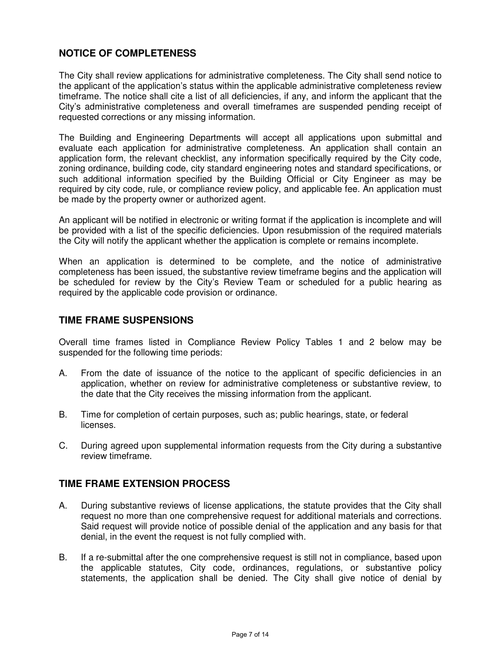#### **NOTICE OF COMPLETENESS**

The City shall review applications for administrative completeness. The City shall send notice to the applicant of the application's status within the applicable administrative completeness review timeframe. The notice shall cite a list of all deficiencies, if any, and inform the applicant that the City's administrative completeness and overall timeframes are suspended pending receipt of requested corrections or any missing information.

The Building and Engineering Departments will accept all applications upon submittal and evaluate each application for administrative completeness. An application shall contain an application form, the relevant checklist, any information specifically required by the City code, zoning ordinance, building code, city standard engineering notes and standard specifications, or such additional information specified by the Building Official or City Engineer as may be required by city code, rule, or compliance review policy, and applicable fee. An application must be made by the property owner or authorized agent.

An applicant will be notified in electronic or writing format if the application is incomplete and will be provided with a list of the specific deficiencies. Upon resubmission of the required materials the City will notify the applicant whether the application is complete or remains incomplete.

When an application is determined to be complete, and the notice of administrative completeness has been issued, the substantive review timeframe begins and the application will be scheduled for review by the City's Review Team or scheduled for a public hearing as required by the applicable code provision or ordinance.

#### **TIME FRAME SUSPENSIONS**

Overall time frames listed in Compliance Review Policy Tables 1 and 2 below may be suspended for the following time periods:

- A. From the date of issuance of the notice to the applicant of specific deficiencies in an application, whether on review for administrative completeness or substantive review, to the date that the City receives the missing information from the applicant.
- B. Time for completion of certain purposes, such as; public hearings, state, or federal licenses.
- C. During agreed upon supplemental information requests from the City during a substantive review timeframe.

#### **TIME FRAME EXTENSION PROCESS**

- A. During substantive reviews of license applications, the statute provides that the City shall request no more than one comprehensive request for additional materials and corrections. Said request will provide notice of possible denial of the application and any basis for that denial, in the event the request is not fully complied with.
- B. If a re-submittal after the one comprehensive request is still not in compliance, based upon the applicable statutes, City code, ordinances, regulations, or substantive policy statements, the application shall be denied. The City shall give notice of denial by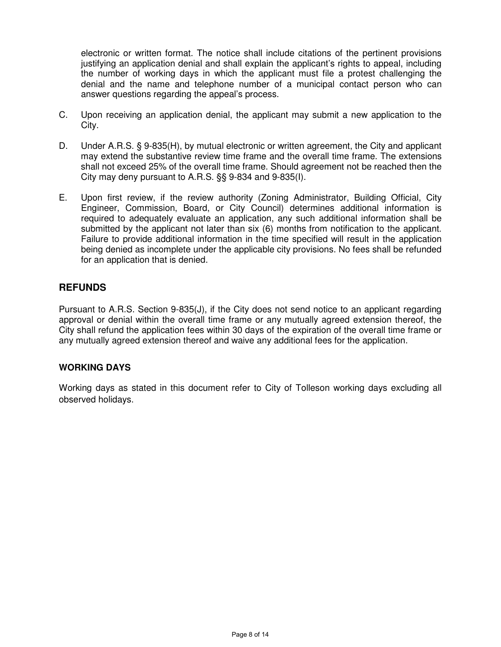electronic or written format. The notice shall include citations of the pertinent provisions justifying an application denial and shall explain the applicant's rights to appeal, including the number of working days in which the applicant must file a protest challenging the denial and the name and telephone number of a municipal contact person who can answer questions regarding the appeal's process.

- C. Upon receiving an application denial, the applicant may submit a new application to the City.
- D. Under A.R.S. § 9-835(H), by mutual electronic or written agreement, the City and applicant may extend the substantive review time frame and the overall time frame. The extensions shall not exceed 25% of the overall time frame. Should agreement not be reached then the City may deny pursuant to A.R.S. §§ 9-834 and 9-835(I).
- E. Upon first review, if the review authority (Zoning Administrator, Building Official, City Engineer, Commission, Board, or City Council) determines additional information is required to adequately evaluate an application, any such additional information shall be submitted by the applicant not later than six (6) months from notification to the applicant. Failure to provide additional information in the time specified will result in the application being denied as incomplete under the applicable city provisions. No fees shall be refunded for an application that is denied.

#### **REFUNDS**

Pursuant to A.R.S. Section 9-835(J), if the City does not send notice to an applicant regarding approval or denial within the overall time frame or any mutually agreed extension thereof, the City shall refund the application fees within 30 days of the expiration of the overall time frame or any mutually agreed extension thereof and waive any additional fees for the application.

#### **WORKING DAYS**

Working days as stated in this document refer to City of Tolleson working days excluding all observed holidays.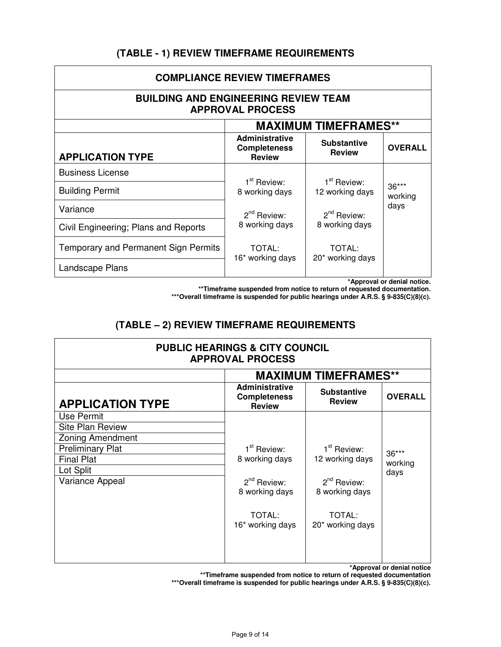#### **(TABLE - 1) REVIEW TIMEFRAME REQUIREMENTS**

| <b>COMPLIANCE REVIEW TIMEFRAMES</b>                                    |                                                               |                                            |                  |  |  |
|------------------------------------------------------------------------|---------------------------------------------------------------|--------------------------------------------|------------------|--|--|
| <b>BUILDING AND ENGINEERING REVIEW TEAM</b><br><b>APPROVAL PROCESS</b> |                                                               |                                            |                  |  |  |
| <b>MAXIMUM TIMEFRAMES**</b>                                            |                                                               |                                            |                  |  |  |
| <b>APPLICATION TYPE</b>                                                | <b>Administrative</b><br><b>Completeness</b><br><b>Review</b> | <b>Substantive</b><br><b>Review</b>        | <b>OVERALL</b>   |  |  |
| <b>Business License</b>                                                |                                                               |                                            |                  |  |  |
| <b>Building Permit</b>                                                 | 1 <sup>st</sup> Review:<br>8 working days                     | 1 <sup>st</sup> Review:<br>12 working days | 36***<br>working |  |  |
| Variance                                                               | $2^{nd}$ Review:                                              | $2^{nd}$ Review:                           | days             |  |  |
| Civil Engineering; Plans and Reports                                   | 8 working days                                                | 8 working days                             |                  |  |  |
| Temporary and Permanent Sign Permits                                   | TOTAL:<br>16* working days                                    | <b>TOTAL:</b><br>20* working days          |                  |  |  |
| Landscape Plans                                                        |                                                               |                                            |                  |  |  |

**\*Approval or denial notice.**

**\*\*Timeframe suspended from notice to return of requested documentation.** 

**\*\*\*Overall timeframe is suspended for public hearings under A.R.S. § 9-835(C)(8)(c).** 

#### **(TABLE – 2) REVIEW TIMEFRAME REQUIREMENTS**

| <b>PUBLIC HEARINGS &amp; CITY COUNCIL</b><br><b>APPROVAL PROCESS</b> |                                                               |                                     |                |  |
|----------------------------------------------------------------------|---------------------------------------------------------------|-------------------------------------|----------------|--|
|                                                                      | <b>MAXIMUM TIMEFRAMES**</b>                                   |                                     |                |  |
| <b>APPLICATION TYPE</b>                                              | <b>Administrative</b><br><b>Completeness</b><br><b>Review</b> | <b>Substantive</b><br><b>Review</b> | <b>OVERALL</b> |  |
| Use Permit                                                           |                                                               |                                     |                |  |
| <b>Site Plan Review</b>                                              |                                                               |                                     |                |  |
| <b>Zoning Amendment</b>                                              |                                                               |                                     |                |  |
| <b>Preliminary Plat</b>                                              | 1 <sup>st</sup> Review:                                       | 1 <sup>st</sup> Review:             | 36***          |  |
| <b>Final Plat</b>                                                    | 8 working days                                                | 12 working days                     | working        |  |
| Lot Split                                                            |                                                               |                                     | days           |  |
| Variance Appeal                                                      | $2^{nd}$ Review:                                              | $2^{nd}$ Review:                    |                |  |
|                                                                      | 8 working days                                                | 8 working days                      |                |  |
|                                                                      | TOTAL:<br>16* working days                                    | TOTAL:<br>20* working days          |                |  |
|                                                                      |                                                               |                                     |                |  |

**\*Approval or denial notice**

**\*\*Timeframe suspended from notice to return of requested documentation** 

**\*\*\*Overall timeframe is suspended for public hearings under A.R.S. § 9-835(C)(8)(c).**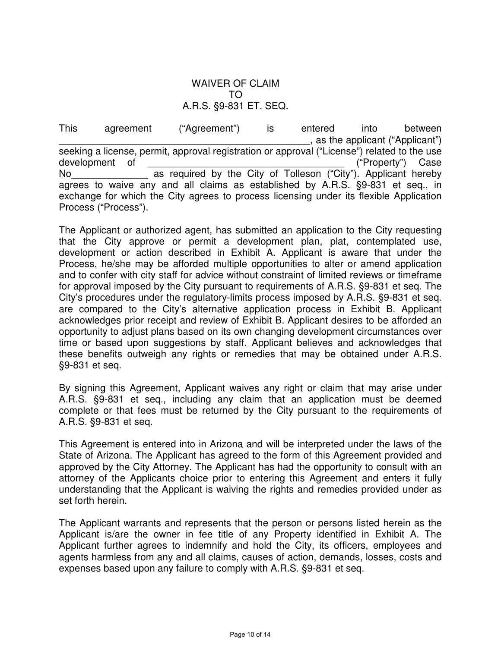#### WAIVER OF CLAIM TO A.R.S. §9-831 ET. SEQ.

This agreement ("Agreement") is entered into between . as the applicant ("Applicant") seeking a license, permit, approval registration or approval ("License") related to the use development of  $($ "Property") Case No<br>No as required by the City of Tolleson ("City"). Applicant hereby agrees to waive any and all claims as established by A.R.S. §9-831 et seq., in exchange for which the City agrees to process licensing under its flexible Application Process ("Process").

The Applicant or authorized agent, has submitted an application to the City requesting that the City approve or permit a development plan, plat, contemplated use, development or action described in Exhibit A. Applicant is aware that under the Process, he/she may be afforded multiple opportunities to alter or amend application and to confer with city staff for advice without constraint of limited reviews or timeframe for approval imposed by the City pursuant to requirements of A.R.S. §9-831 et seq. The City's procedures under the regulatory-limits process imposed by A.R.S. §9-831 et seq. are compared to the City's alternative application process in Exhibit B. Applicant acknowledges prior receipt and review of Exhibit B. Applicant desires to be afforded an opportunity to adjust plans based on its own changing development circumstances over time or based upon suggestions by staff. Applicant believes and acknowledges that these benefits outweigh any rights or remedies that may be obtained under A.R.S. §9-831 et seq.

By signing this Agreement, Applicant waives any right or claim that may arise under A.R.S. §9-831 et seq., including any claim that an application must be deemed complete or that fees must be returned by the City pursuant to the requirements of A.R.S. §9-831 et seq.

This Agreement is entered into in Arizona and will be interpreted under the laws of the State of Arizona. The Applicant has agreed to the form of this Agreement provided and approved by the City Attorney. The Applicant has had the opportunity to consult with an attorney of the Applicants choice prior to entering this Agreement and enters it fully understanding that the Applicant is waiving the rights and remedies provided under as set forth herein.

The Applicant warrants and represents that the person or persons listed herein as the Applicant is/are the owner in fee title of any Property identified in Exhibit A. The Applicant further agrees to indemnify and hold the City, its officers, employees and agents harmless from any and all claims, causes of action, demands, losses, costs and expenses based upon any failure to comply with A.R.S. §9-831 et seq.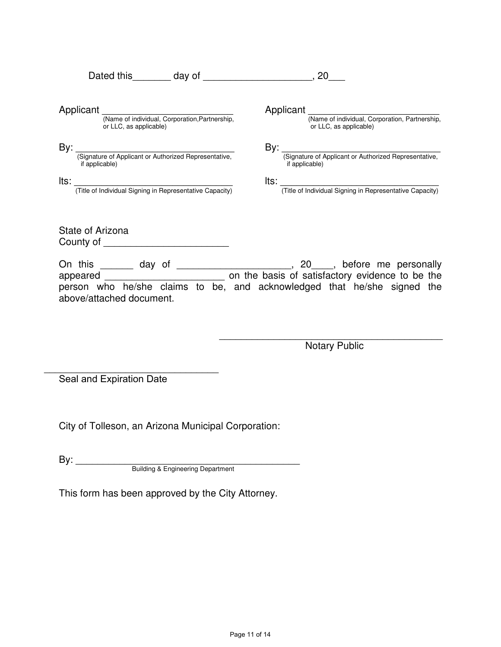|                                                                                                                                                                                                                                                          | 20                                                                                 |  |  |
|----------------------------------------------------------------------------------------------------------------------------------------------------------------------------------------------------------------------------------------------------------|------------------------------------------------------------------------------------|--|--|
| Applicant (Name of individual, Corporation, Partnership,<br>or LLC, as applicable)                                                                                                                                                                       | Applicant (Name of individual, Corporation, Partnership,<br>or LLC, as applicable) |  |  |
| By:                                                                                                                                                                                                                                                      |                                                                                    |  |  |
| (Signature of Applicant or Authorized Representative,<br>if applicable)                                                                                                                                                                                  | By: (Signature of Applicant or Authorized Representative,<br>if applicable)        |  |  |
| lts:<br>(Title of Individual Signing in Representative Capacity)                                                                                                                                                                                         | Its: Title of Individual Signing in Representative Capacity)                       |  |  |
| State of Arizona<br><b>County of the country of the country of the country of the country of the country of the country of the country of the country of the country of the country of the country of the country of the country of the country of t</b> |                                                                                    |  |  |
| On this _______ day of<br>appeared<br>person who he/she claims to be, and acknowledged that he/she signed the                                                                                                                                            | on the basis of satisfactory evidence to be the                                    |  |  |

above/attached document.

Notary Public \_\_\_\_\_\_\_\_\_\_\_\_\_\_\_\_\_\_\_\_\_\_\_\_\_\_\_\_\_\_\_\_\_\_\_\_\_\_\_\_\_

Seal and Expiration Date \_\_\_\_\_\_\_\_\_\_\_\_\_\_\_\_\_\_\_\_\_\_\_\_\_\_\_\_\_\_\_\_

City of Tolleson, an Arizona Municipal Corporation:

By: \_\_\_\_\_\_\_\_\_\_\_\_\_\_\_\_\_\_\_\_\_\_\_\_\_\_\_\_\_\_\_\_\_\_\_\_\_\_\_\_\_ Building & Engineering Department

This form has been approved by the City Attorney.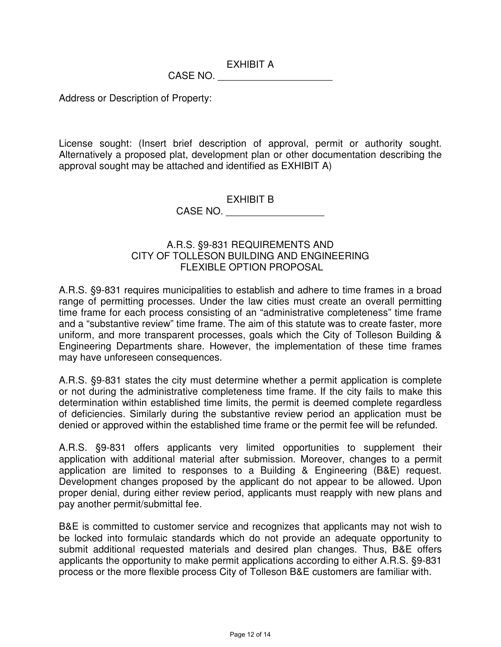EXHIBIT A

CASE NO.

Address or Description of Property:

License sought: (Insert brief description of approval, permit or authority sought. Alternatively a proposed plat, development plan or other documentation describing the approval sought may be attached and identified as EXHIBIT A)

> EXHIBIT B CASE NO. \_\_\_\_\_\_\_\_\_\_\_\_\_\_\_\_\_\_

#### A.R.S. §9-831 REQUIREMENTS AND CITY OF TOLLESON BUILDING AND ENGINEERING FLEXIBLE OPTION PROPOSAL

A.R.S. §9-831 requires municipalities to establish and adhere to time frames in a broad range of permitting processes. Under the law cities must create an overall permitting time frame for each process consisting of an "administrative completeness" time frame and a "substantive review" time frame. The aim of this statute was to create faster, more uniform, and more transparent processes, goals which the City of Tolleson Building & Engineering Departments share. However, the implementation of these time frames may have unforeseen consequences.

A.R.S. §9-831 states the city must determine whether a permit application is complete or not during the administrative completeness time frame. If the city fails to make this determination within established time limits, the permit is deemed complete regardless of deficiencies. Similarly during the substantive review period an application must be denied or approved within the established time frame or the permit fee will be refunded.

A.R.S. §9-831 offers applicants very limited opportunities to supplement their application with additional material after submission. Moreover, changes to a permit application are limited to responses to a Building & Engineering (B&E) request. Development changes proposed by the applicant do not appear to be allowed. Upon proper denial, during either review period, applicants must reapply with new plans and pay another permit/submittal fee.

B&E is committed to customer service and recognizes that applicants may not wish to be locked into formulaic standards which do not provide an adequate opportunity to submit additional requested materials and desired plan changes. Thus, B&E offers applicants the opportunity to make permit applications according to either A.R.S. §9-831 process or the more flexible process City of Tolleson B&E customers are familiar with.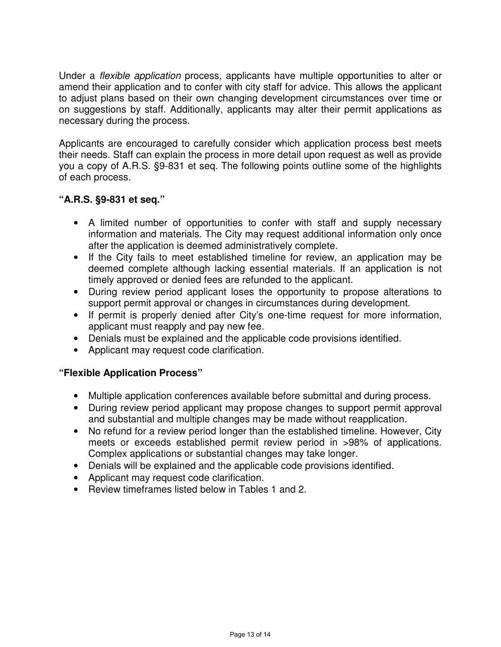Under a flexible application process, applicants have multiple opportunities to alter or amend their application and to confer with city staff for advice. This allows the applicant to adjust plans based on their own changing development circumstances over time or on suggestions by staff. Additionally, applicants may alter their permit applications as necessary during the process.

Applicants are encouraged to carefully consider which application process best meets their needs. Staff can explain the process in more detail upon request as well as provide you a copy of A.R.S. §9-831 et seq. The following points outline some of the highlights of each process.

#### **"A.R.S. §9-831 et seq."**

- A limited number of opportunities to confer with staff and supply necessary information and materials. The City may request additional information only once after the application is deemed administratively complete.
- If the City fails to meet established timeline for review, an application may be deemed complete although lacking essential materials. If an application is not timely approved or denied fees are refunded to the applicant.
- During review period applicant loses the opportunity to propose alterations to support permit approval or changes in circumstances during development.
- If permit is properly denied after City's one-time request for more information, applicant must reapply and pay new fee.
- Denials must be explained and the applicable code provisions identified.
- Applicant may request code clarification.

#### **"Flexible Application Process"**

- Multiple application conferences available before submittal and during process.
- During review period applicant may propose changes to support permit approval and substantial and multiple changes may be made without reapplication.
- No refund for a review period longer than the established timeline. However, City meets or exceeds established permit review period in >98% of applications. Complex applications or substantial changes may take longer.
- Denials will be explained and the applicable code provisions identified.
- Applicant may request code clarification.
- Review timeframes listed below in Tables 1 and 2.